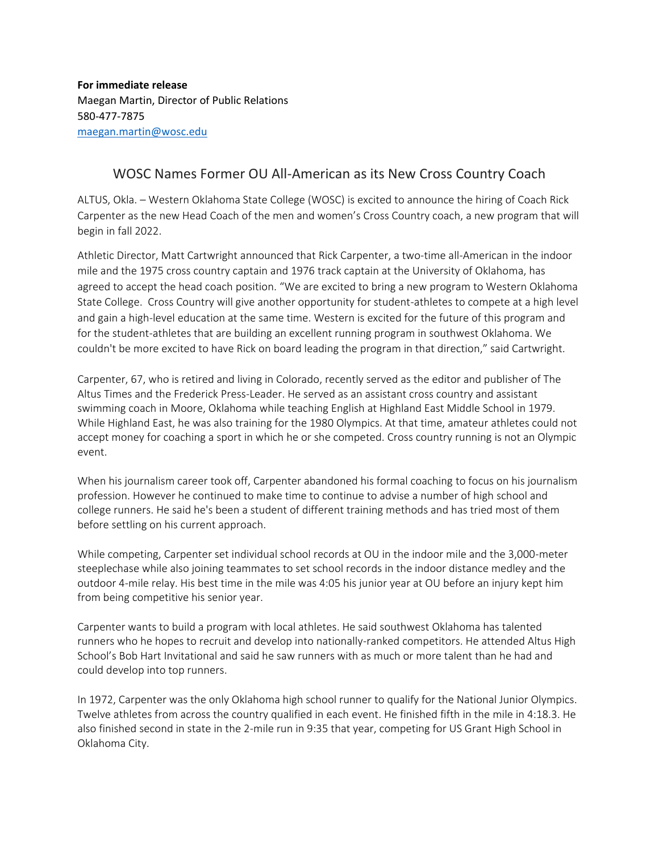**For immediate release** Maegan Martin, Director of Public Relations 580-477-7875 [maegan.martin@wosc.edu](mailto:maegan.martin@wosc.edu)

## WOSC Names Former OU All-American as its New Cross Country Coach

ALTUS, Okla. – Western Oklahoma State College (WOSC) is excited to announce the hiring of Coach Rick Carpenter as the new Head Coach of the men and women's Cross Country coach, a new program that will begin in fall 2022.

Athletic Director, Matt Cartwright announced that Rick Carpenter, a two-time all-American in the indoor mile and the 1975 cross country captain and 1976 track captain at the University of Oklahoma, has agreed to accept the head coach position. "We are excited to bring a new program to Western Oklahoma State College. Cross Country will give another opportunity for student-athletes to compete at a high level and gain a high-level education at the same time. Western is excited for the future of this program and for the student-athletes that are building an excellent running program in southwest Oklahoma. We couldn't be more excited to have Rick on board leading the program in that direction," said Cartwright.

Carpenter, 67, who is retired and living in Colorado, recently served as the editor and publisher of The Altus Times and the Frederick Press-Leader. He served as an assistant cross country and assistant swimming coach in Moore, Oklahoma while teaching English at Highland East Middle School in 1979. While Highland East, he was also training for the 1980 Olympics. At that time, amateur athletes could not accept money for coaching a sport in which he or she competed. Cross country running is not an Olympic event.

When his journalism career took off, Carpenter abandoned his formal coaching to focus on his journalism profession. However he continued to make time to continue to advise a number of high school and college runners. He said he's been a student of different training methods and has tried most of them before settling on his current approach.

While competing, Carpenter set individual school records at OU in the indoor mile and the 3,000-meter steeplechase while also joining teammates to set school records in the indoor distance medley and the outdoor 4-mile relay. His best time in the mile was 4:05 his junior year at OU before an injury kept him from being competitive his senior year.

Carpenter wants to build a program with local athletes. He said southwest Oklahoma has talented runners who he hopes to recruit and develop into nationally-ranked competitors. He attended Altus High School's Bob Hart Invitational and said he saw runners with as much or more talent than he had and could develop into top runners.

In 1972, Carpenter was the only Oklahoma high school runner to qualify for the National Junior Olympics. Twelve athletes from across the country qualified in each event. He finished fifth in the mile in 4:18.3. He also finished second in state in the 2-mile run in 9:35 that year, competing for US Grant High School in Oklahoma City.